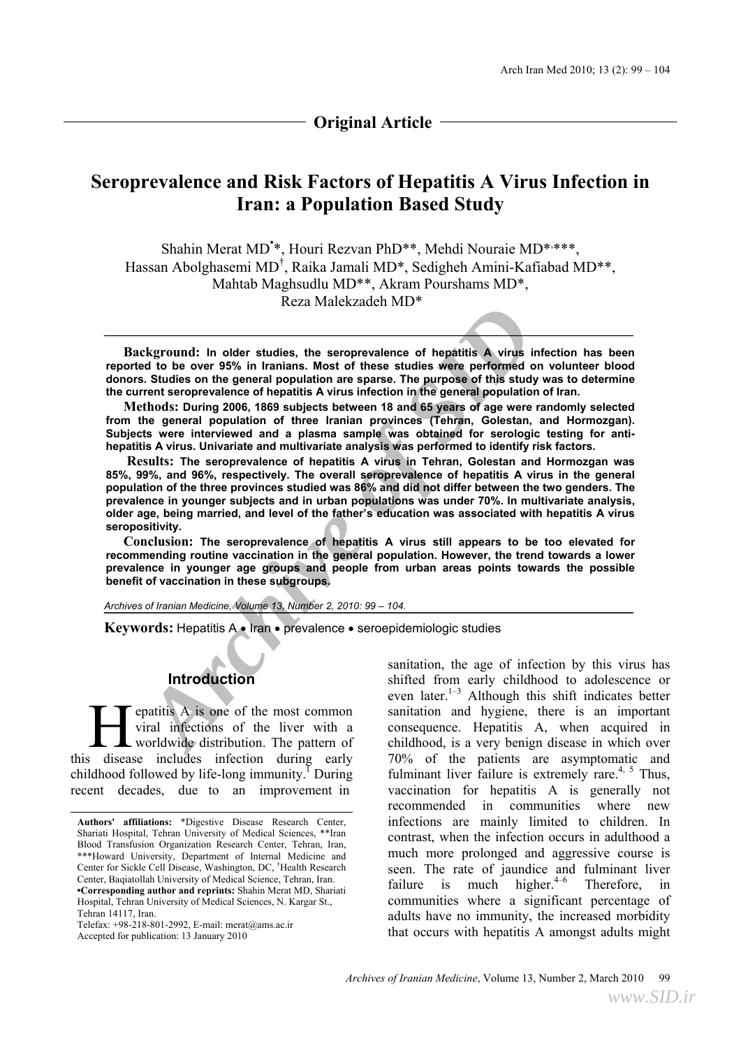# **Original Article**

# **Seroprevalence and Risk Factors of Hepatitis A Virus Infection in Iran: a Population Based Study**

Shahin Merat MD<sup>\*\*</sup>, Houri Rezvan PhD<sup>\*\*</sup>, Mehdi Nouraie MD<sup>\*\*\*\*\*</sup>, Hassan Abolghasemi MD<sup>†</sup>, Raika Jamali MD<sup>\*</sup>, Sedigheh Amini-Kafiabad MD<sup>\*\*</sup>, Mahtab Maghsudlu MD\*\*, Akram Pourshams MD\*, Reza Malekzadeh MD\*

**Background: In older studies, the seroprevalence of hepatitis A virus infection has been reported to be over 95% in Iranians. Most of these studies were performed on volunteer blood donors. Studies on the general population are sparse. The purpose of this study was to determine the current seroprevalence of hepatitis A virus infection in the general population of Iran.** 

**Methods: During 2006, 1869 subjects between 18 and 65 years of age were randomly selected from the general population of three Iranian provinces (Tehran, Golestan, and Hormozgan). Subjects were interviewed and a plasma sample was obtained for serologic testing for antihepatitis A virus. Univariate and multivariate analysis was performed to identify risk factors.** 

**Example 18**<br> **Archive Control** and the studies, the seroprevalence of hepisities A virus infected to be over 95% in Iranians. Most of these studies were performed on versus. Studies on the general population are spares.  **Results: The seroprevalence of hepatitis A virus in Tehran, Golestan and Hormozgan was 85%, 99%, and 96%, respectively. The overall seroprevalence of hepatitis A virus in the general population of the three provinces studied was 86% and did not differ between the two genders. The prevalence in younger subjects and in urban populations was under 70%. In multivariate analysis, older age, being married, and level of the father's education was associated with hepatitis A virus seropositivity.** 

**Conclusion: The seroprevalence of hepatitis A virus still appears to be too elevated for recommending routine vaccination in the general population. However, the trend towards a lower prevalence in younger age groups and people from urban areas points towards the possible benefit of vaccination in these subgroups.**

*Archives of Iranian Medicine, Volume 13, Number 2, 2010: 99 – 104.* 

Keywords: Hepatitis A · Iran · prevalence · seroepidemiologic studies

# **Introduction**

epatitis A is one of the most common viral infections of the liver with a worldwide distribution. The pattern of this disease includes infection during early childhood followed by life-long immunity.<sup>I</sup> During recent decades, due to an improvement in

sanitation, the age of infection by this virus has shifted from early childhood to adolescence or even later.<sup>1–3</sup> Although this shift indicates better sanitation and hygiene, there is an important consequence. Hepatitis A, when acquired in childhood, is a very benign disease in which over 70% of the patients are asymptomatic and fulminant liver failure is extremely rare.<sup>4, 5</sup> Thus, vaccination for hepatitis A is generally not recommended in communities where new infections are mainly limited to children. In contrast, when the infection occurs in adulthood a much more prolonged and aggressive course is seen. The rate of jaundice and fulminant liver failure is much higher. $4-6$  Therefore, in communities where a significant percentage of adults have no immunity, the increased morbidity that occurs with hepatitis A amongst adults might

**Authors' affiliations:** \*Digestive Disease Research Center, Shariati Hospital, Tehran University of Medical Sciences, \*\*Iran Blood Transfusion Organization Research Center, Tehran, Iran, \*\*\*Howard University, Department of Internal Medicine and Center for Sickle Cell Disease, Washington, DC, † Health Research Center, Baqiatollah University of Medical Science, Tehran, Iran. **•Corresponding author and reprints:** Shahin Merat MD, Shariati Hospital, Tehran University of Medical Sciences, N. Kargar St., Tehran 14117, Iran. **Example 12 Set also are also are to the interest of the control of the interest includes infect hildhood followed by life-long ecent decades, due to an Authors' affiliations: \*Digestive Dis Shariati Hospital, Tehran Unive** 

Telefax: +98-218-801-2992, E-mail: merat@ams.ac.ir<br>Accepted for publication: 13 January 2010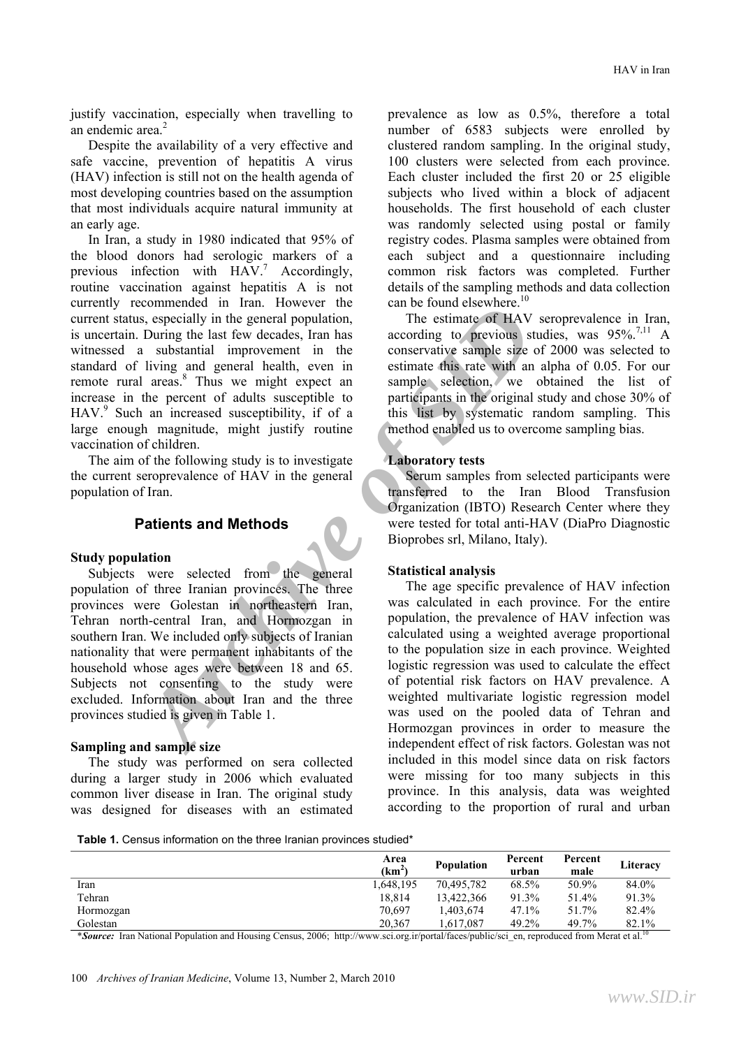justify vaccination, especially when travelling to an endemic area. 2

Despite the availability of a very effective and safe vaccine, prevention of hepatitis A virus (HAV) infection is still not on the health agenda of most developing countries based on the assumption that most individuals acquire natural immunity at an early age.

In Iran, a study in 1980 indicated that 95% of the blood donors had serologic markers of a previous infection with  $HAV^7$  Accordingly, routine vaccination against hepatitis A is not currently recommended in Iran. However the current status, especially in the general population, is uncertain. During the last few decades, Iran has witnessed a substantial improvement in the standard of living and general health, even in remote rural areas.<sup>8</sup> Thus we might expect an increase in the percent of adults susceptible to HAV.<sup>9</sup> Such an increased susceptibility, if of a large enough magnitude, might justify routine vaccination of children.

The aim of the following study is to investigate the current seroprevalence of HAV in the general population of Iran.

# **Patients and Methods**

#### **Study population**

**Example 19** That **Archive to the continue of the stress the continue of the system of the system of the system of the system and and anomy and general heath, we might expect to a sumple size of 2 and anomy and general hea** Subjects were selected from the general population of three Iranian provinces. The three provinces were Golestan in northeastern Iran, Tehran north-central Iran, and Hormozgan in southern Iran. We included only subjects of Iranian nationality that were permanent inhabitants of the household whose ages were between 18 and 65. Subjects not consenting to the study were excluded. Information about Iran and the three provinces studied is given in Table 1.

#### **Sampling and sample size**

The study was performed on sera collected during a larger study in 2006 which evaluated common liver disease in Iran. The original study was designed for diseases with an estimated prevalence as low as 0.5%, therefore a total number of 6583 subjects were enrolled by clustered random sampling. In the original study, 100 clusters were selected from each province. Each cluster included the first 20 or 25 eligible subjects who lived within a block of adjacent households. The first household of each cluster was randomly selected using postal or family registry codes. Plasma samples were obtained from each subject and a questionnaire including common risk factors was completed. Further details of the sampling methods and data collection can be found elsewhere. $10$ 

The estimate of HAV seroprevalence in Iran, according to previous studies, was  $95\%$ <sup>7,11</sup> A conservative sample size of 2000 was selected to estimate this rate with an alpha of 0.05. For our sample selection, we obtained the list of participants in the original study and chose 30% of this list by systematic random sampling. This method enabled us to overcome sampling bias.

## **Laboratory tests**

Serum samples from selected participants were transferred to the Iran Blood Transfusion Organization (IBTO) Research Center where they were tested for total anti-HAV (DiaPro Diagnostic Bioprobes srl, Milano, Italy).

#### **Statistical analysis**

The age specific prevalence of HAV infection was calculated in each province. For the entire population, the prevalence of HAV infection was calculated using a weighted average proportional to the population size in each province. Weighted logistic regression was used to calculate the effect of potential risk factors on HAV prevalence. A weighted multivariate logistic regression model was used on the pooled data of Tehran and Hormozgan provinces in order to measure the independent effect of risk factors. Golestan was not included in this model since data on risk factors were missing for too many subjects in this province. In this analysis, data was weighted according to the proportion of rural and urban

**Table 1.** Census information on the three Iranian provinces studied\*

|           | Area<br>(km <sup>2)</sup> | <b>Population</b> | Percent<br>urban | Percent<br>male | Literacy                 |
|-----------|---------------------------|-------------------|------------------|-----------------|--------------------------|
| Iran      | 1,648,195                 | 70.495.782        | 68.5%            | 50.9%           | 84.0%                    |
| Tehran    | 18.814                    | 13,422,366        | 91.3%            | 51.4%           | 91.3%                    |
| Hormozgan | 70.697                    | .403.674          | $47.1\%$         | 51.7%           | 82.4%                    |
| Golestan  | 20.367                    | 1.617.087         | 49.2%            | 49.7%           | 82.1%<br>$\overline{10}$ |

\***Source:** Iran National Population and Housing Census, 2006; http://www.sci.org.ir/portal/faces/public/sci\_en, reproduced from Merat et al.<sup>10</sup>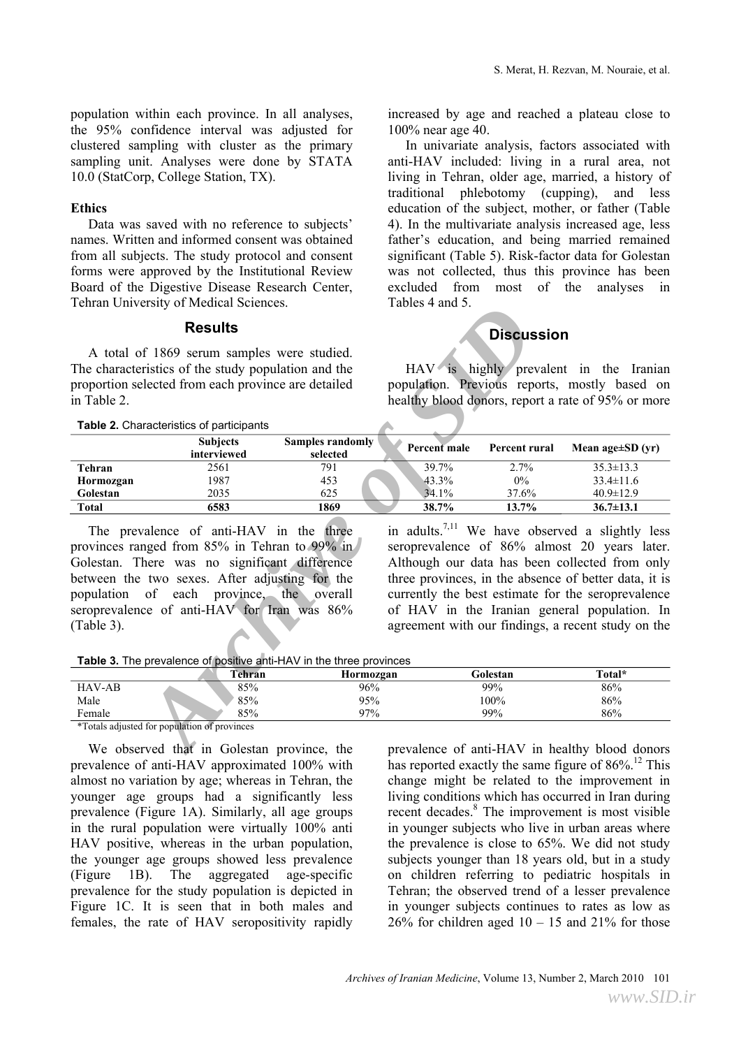population within each province. In all analyses, the 95% confidence interval was adjusted for clustered sampling with cluster as the primary sampling unit. Analyses were done by STATA 10.0 (StatCorp, College Station, TX).

## **Ethics**

Data was saved with no reference to subjects' names. Written and informed consent was obtained from all subjects. The study protocol and consent forms were approved by the Institutional Review Board of the Digestive Disease Research Center, Tehran University of Medical Sciences.

#### **Results**

increased by age and reached a plateau close to 100% near age 40.

In univariate analysis, factors associated with anti-HAV included: living in a rural area, not living in Tehran, older age, married, a history of traditional phlebotomy (cupping), and less education of the subject, mother, or father (Table 4). In the multivariate analysis increased age, less father's education, and being married remained significant (Table 5). Risk-factor data for Golestan was not collected, thus this province has been excluded from most of the analyses in Tables 4 and 5.

# **Discussion**

| I eman University of Medical Sciences. |                                                                                                                                                                                                                                                                                                                                                               | $1$ ables $4$ ally $3$ .            |                     |                      |                                                                                                                                                                                                                                                                                                                                                                                    |  |
|----------------------------------------|---------------------------------------------------------------------------------------------------------------------------------------------------------------------------------------------------------------------------------------------------------------------------------------------------------------------------------------------------------------|-------------------------------------|---------------------|----------------------|------------------------------------------------------------------------------------------------------------------------------------------------------------------------------------------------------------------------------------------------------------------------------------------------------------------------------------------------------------------------------------|--|
| <b>Results</b>                         |                                                                                                                                                                                                                                                                                                                                                               |                                     | <b>Discussion</b>   |                      |                                                                                                                                                                                                                                                                                                                                                                                    |  |
| in Table 2.                            | A total of 1869 serum samples were studied.<br>The characteristics of the study population and the<br>proportion selected from each province are detailed<br>Table 2. Characteristics of participants                                                                                                                                                         |                                     |                     |                      | HAV is highly prevalent in the Iranian<br>population. Previous reports, mostly based on<br>healthy blood donors, report a rate of 95% or more                                                                                                                                                                                                                                      |  |
|                                        | <b>Subjects</b><br>interviewed                                                                                                                                                                                                                                                                                                                                | <b>Samples randomly</b><br>selected | <b>Percent</b> male | <b>Percent rural</b> | Mean age $\pm SD$ (yr)                                                                                                                                                                                                                                                                                                                                                             |  |
| <b>Tehran</b>                          | 2561                                                                                                                                                                                                                                                                                                                                                          | 791                                 | 39.7%               | 2.7%                 | $35.3 \pm 13.3$                                                                                                                                                                                                                                                                                                                                                                    |  |
| Hormozgan                              | 1987                                                                                                                                                                                                                                                                                                                                                          | 453                                 | 43.3%               | $0\%$                | $33.4 \pm 11.6$                                                                                                                                                                                                                                                                                                                                                                    |  |
| Golestan                               | 2035                                                                                                                                                                                                                                                                                                                                                          | 625                                 | 34.1%               | 37.6%                | $40.9 \pm 12.9$                                                                                                                                                                                                                                                                                                                                                                    |  |
| <b>Total</b>                           | 6583                                                                                                                                                                                                                                                                                                                                                          | 1869                                | 38.7%               | 13.7%                | $36.7 \pm 13.1$                                                                                                                                                                                                                                                                                                                                                                    |  |
| (Table 3).                             | The prevalence of anti-HAV in the three<br>provinces ranged from 85% in Tehran to 99% in<br>Golestan. There was no significant difference<br>between the two sexes. After adjusting for the<br>population of each province, the overall<br>seroprevalence of anti-HAV for Iran was 86%<br>Table 3. The prevalence of positive anti-HAV in the three provinces |                                     |                     |                      | in adults. <sup>7,11</sup> We have observed a slightly less<br>seroprevalence of 86% almost 20 years later.<br>Although our data has been collected from only<br>three provinces, in the absence of better data, it is<br>currently the best estimate for the seroprevalence<br>of HAV in the Iranian general population. In<br>agreement with our findings, a recent study on the |  |
|                                        | Tehran                                                                                                                                                                                                                                                                                                                                                        | Hormozgan                           |                     | Golestan             | Total*                                                                                                                                                                                                                                                                                                                                                                             |  |
| <b>HAV-AB</b>                          | 85%                                                                                                                                                                                                                                                                                                                                                           | 96%                                 |                     | 99%                  | 86%                                                                                                                                                                                                                                                                                                                                                                                |  |
| Male                                   | 85%                                                                                                                                                                                                                                                                                                                                                           | 95%                                 |                     | 100%                 | 86%                                                                                                                                                                                                                                                                                                                                                                                |  |
| Female                                 | 85%                                                                                                                                                                                                                                                                                                                                                           | 97%                                 |                     | 99%                  | 86%                                                                                                                                                                                                                                                                                                                                                                                |  |
|                                        | *Totals adjusted for population of provinces                                                                                                                                                                                                                                                                                                                  |                                     |                     |                      |                                                                                                                                                                                                                                                                                                                                                                                    |  |
|                                        | We observed that in Golestan province, the                                                                                                                                                                                                                                                                                                                    |                                     |                     |                      | prevalence of anti-HAV in healthy blood donors                                                                                                                                                                                                                                                                                                                                     |  |

**Table 3.** The prevalence of positive anti-HAV in the three provinces

|               | `ehran | Hormozgan | Golestan | Total* |
|---------------|--------|-----------|----------|--------|
| <b>HAV-AB</b> | 85%    | 96%       | 99%      | 86%    |
| Male          | 85%    | 95%       | 100%     | 86%    |
| Female        | 85%    | 97%       | 99%      | 86%    |

We observed that in Golestan province, the prevalence of anti-HAV approximated 100% with almost no variation by age; whereas in Tehran, the younger age groups had a significantly less prevalence (Figure 1A). Similarly, all age groups in the rural population were virtually 100% anti HAV positive, whereas in the urban population, the younger age groups showed less prevalence (Figure 1B). The aggregated age-specific prevalence for the study population is depicted in Figure 1C. It is seen that in both males and females, the rate of HAV seropositivity rapidly prevalence of anti-HAV in healthy blood donors has reported exactly the same figure of  $86\%$ <sup>12</sup> This change might be related to the improvement in living conditions which has occurred in Iran during recent decades. 8 The improvement is most visible in younger subjects who live in urban areas where the prevalence is close to 65%. We did not study subjects younger than 18 years old, but in a study on children referring to pediatric hospitals in Tehran; the observed trend of a lesser prevalence in younger subjects continues to rates as low as  $26\%$  for children aged  $10 - 15$  and  $21\%$  for those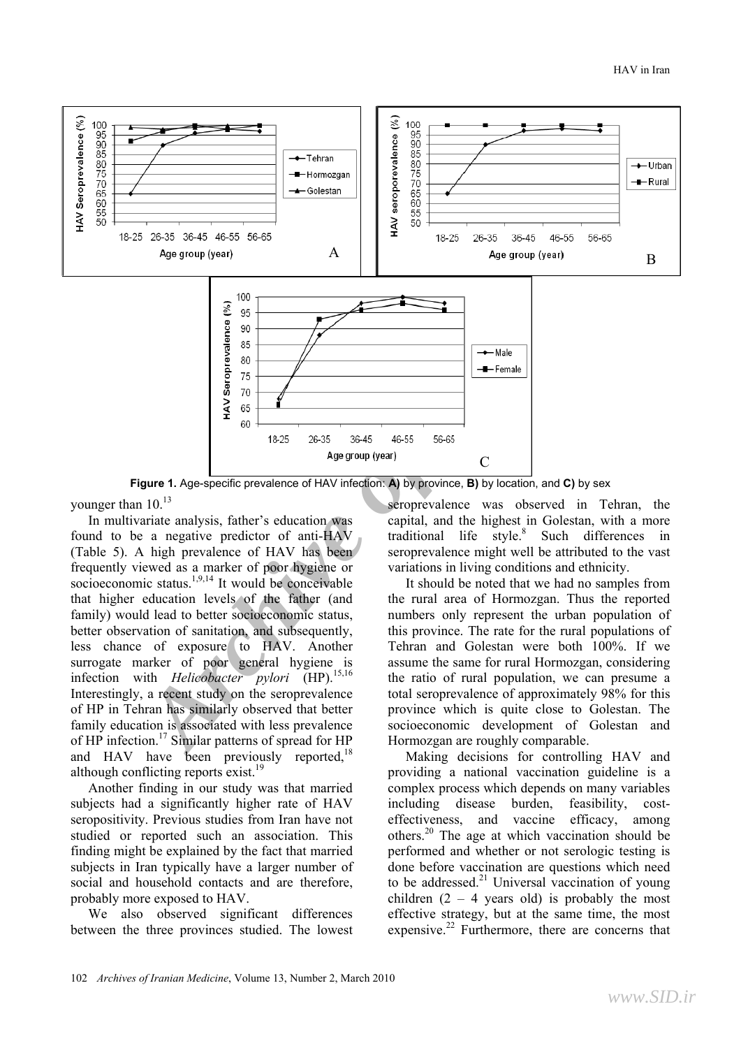

**Figure 1.** Age-specific prevalence of HAV infection: **A**) by province, **B**) by location, and **C**) by sex

younger than  $10^{13}$ 

In multivariate analysis, father's education was found to be a negative predictor of anti-HAV (Table 5). A high prevalence of HAV has been frequently viewed as a marker of poor hygiene or socioeconomic status. $1,9,14$  It would be conceivable that higher education levels of the father (and family) would lead to better socioeconomic status, better observation of sanitation, and subsequently, less chance of exposure to HAV. Another surrogate marker of poor general hygiene is infection with *Helicobacter pylori* (HP).<sup>15,16</sup> Interestingly, a recent study on the seroprevalence of HP in Tehran has similarly observed that better family education is associated with less prevalence of HP infection.<sup>17</sup> Similar patterns of spread for HP and HAV have been previously reported, $18$ although conflicting reports  $exist.<sup>19</sup>$ 

Another finding in our study was that married subjects had a significantly higher rate of HAV seropositivity. Previous studies from Iran have not studied or reported such an association. This finding might be explained by the fact that married subjects in Iran typically have a larger number of social and household contacts and are therefore, probably more exposed to HAV.

We also observed significant differences between the three provinces studied. The lowest

seroprevalence was observed in Tehran, the capital, and the highest in Golestan, with a more traditional life style. 8 Such differences in seroprevalence might well be attributed to the vast variations in living conditions and ethnicity.

It should be noted that we had no samples from the rural area of Hormozgan. Thus the reported numbers only represent the urban population of this province. The rate for the rural populations of Tehran and Golestan were both 100%. If we assume the same for rural Hormozgan, considering the ratio of rural population, we can presume a total seroprevalence of approximately 98% for this province which is quite close to Golestan. The socioeconomic development of Golestan and Hormozgan are roughly comparable.

Making decisions for controlling HAV and providing a national vaccination guideline is a complex process which depends on many variables including disease burden, feasibility, costeffectiveness, and vaccine efficacy, among others.20 The age at which vaccination should be performed and whether or not serologic testing is done before vaccination are questions which need to be addressed. $^{21}$  Universal vaccination of young children  $(2 - 4$  years old) is probably the most effective strategy, but at the same time, the most expensive.<sup>22</sup> Furthermore, there are concerns that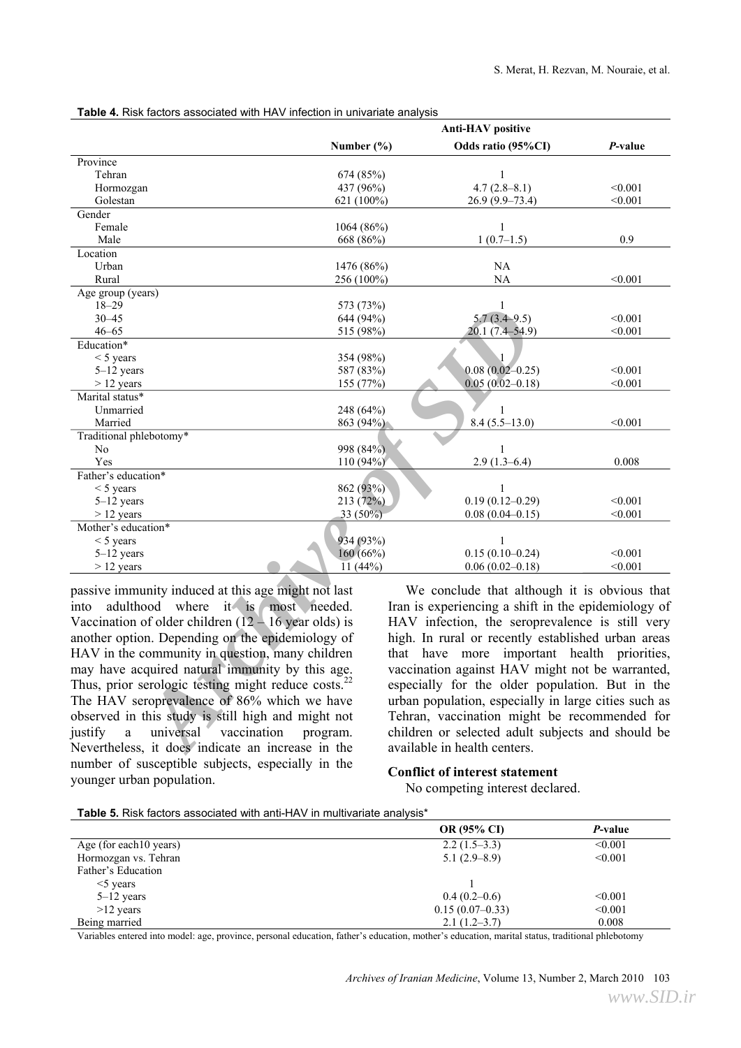|                                                                 | <b>Anti-HAV</b> positive |                                                      |         |  |
|-----------------------------------------------------------------|--------------------------|------------------------------------------------------|---------|--|
|                                                                 | Number (%)               | Odds ratio (95%CI)                                   | P-value |  |
| Province                                                        |                          |                                                      |         |  |
| Tehran                                                          | 674 (85%)                | 1                                                    |         |  |
| Hormozgan                                                       | 437 (96%)                | $4.7(2.8-8.1)$                                       | < 0.001 |  |
| Golestan                                                        | 621 (100%)               | $26.9(9.9-73.4)$                                     | < 0.001 |  |
| Gender                                                          |                          |                                                      |         |  |
| Female                                                          | 1064(86%)                | $\mathbf{1}$                                         |         |  |
| Male                                                            | 668 (86%)                | $1(0.7-1.5)$                                         | 0.9     |  |
| Location                                                        |                          |                                                      |         |  |
| Urban                                                           | 1476 (86%)               | NA                                                   |         |  |
| Rural                                                           | 256 (100%)               | NA                                                   | < 0.001 |  |
| Age group (years)                                               |                          |                                                      |         |  |
| $18 - 29$                                                       | 573 (73%)                | 1                                                    |         |  |
| 30–45                                                           | 644 (94%)                | $5.7(3.4 - 9.5)$                                     | < 0.001 |  |
| $46 - 65$                                                       | 515 (98%)                | $20.1(7.4 - 54.9)$                                   | < 0.001 |  |
| Education*                                                      |                          |                                                      |         |  |
| $<$ 5 years                                                     | 354 (98%)                | 1                                                    |         |  |
| $5-12$ years                                                    | 587 (83%)                | $0.08(0.02 - 0.25)$                                  | < 0.001 |  |
| $>$ 12 years                                                    | 155 (77%)                | $0.05(0.02 - 0.18)$                                  | < 0.001 |  |
| Marital status*                                                 |                          |                                                      |         |  |
| Unmarried                                                       | 248 (64%)                | 1                                                    | < 0.001 |  |
| Married<br>Traditional phlebotomy*                              | 863 (94%)                | $8.4(5.5-13.0)$                                      |         |  |
| No                                                              | 998 (84%)                | $\mathbf{1}$                                         |         |  |
| Yes                                                             | 110 (94%)                | $2.9(1.3-6.4)$                                       | 0.008   |  |
| Father's education*                                             |                          |                                                      |         |  |
| $<$ 5 years                                                     | 862 (93%)                |                                                      |         |  |
| 5-12 years                                                      | 213 (72%)                | $0.19(0.12 - 0.29)$                                  | < 0.001 |  |
| $> 12$ years                                                    | 33 (50%)                 | $0.08(0.04 - 0.15)$                                  | < 0.001 |  |
| Mother's education*                                             |                          |                                                      |         |  |
| $<$ 5 years                                                     | 934 (93%)                |                                                      |         |  |
| $5-12$ years                                                    | 160 (66%)                | $0.15(0.10-0.24)$                                    | < 0.001 |  |
| $> 12$ years                                                    | $\overline{11}$ (44%)    | $0.06(0.02 - 0.18)$                                  | < 0.001 |  |
| passive immunity induced at this age might not last             |                          | We conclude that although it is obvious that         |         |  |
| adulthood where it is most needed.<br>into                      |                          | Iran is experiencing a shift in the epidemiology of  |         |  |
| Vaccination of older children $(12 - 16$ year olds) is          |                          | HAV infection, the seroprevalence is still very      |         |  |
|                                                                 |                          |                                                      |         |  |
| another option. Depending on the epidemiology of                |                          | high. In rural or recently established urban areas   |         |  |
| HAV in the community in question, many children                 |                          | that have more important health priorities,          |         |  |
| may have acquired natural immunity by this age.                 |                          | vaccination against HAV might not be warranted,      |         |  |
| Thus, prior serologic testing might reduce costs. <sup>22</sup> |                          | especially for the older population. But in the      |         |  |
| The HAV seroprevalence of 86% which we have                     |                          | urban population, especially in large cities such as |         |  |
| observed in this study is still high and might not              |                          | Tehran, vaccination might be recommended for         |         |  |
| universal<br>justify<br>vaccination                             |                          |                                                      |         |  |
| $\mathbf{a}$                                                    | program.                 | children or selected adult subjects and should be    |         |  |
| Nevertheless, it does indicate an increase in the               |                          | available in health centers.                         |         |  |

**Table 4.** Risk factors associated with HAV infection in univariate analysis

passive immunity induced at this age might not last into adulthood where it is most needed. Vaccination of older children  $(12 - 16$  year olds) is another option. Depending on the epidemiology of HAV in the community in question, many children may have acquired natural immunity by this age. Thus, prior serologic testing might reduce costs.<sup>2</sup> The HAV seroprevalence of 86% which we have observed in this study is still high and might not justify a universal vaccination program. Nevertheless, it does indicate an increase in the number of susceptible subjects, especially in the younger urban population.

## **Conflict of interest statement**

No competing interest declared.

**Table 5.** Risk factors associated with anti-HAV in multivariate analysis\*

|                         | <b>OR (95% CI)</b> | <i>P</i> -value |
|-------------------------|--------------------|-----------------|
| Age (for each 10 years) | $2.2(1.5-3.3)$     | < 0.001         |
| Hormozgan vs. Tehran    | $5.1(2.9-8.9)$     | < 0.001         |
| Father's Education      |                    |                 |
| $\leq$ years            |                    |                 |
| $5-12$ years            | $0.4(0.2-0.6)$     | < 0.001         |
| $>12$ years             | $0.15(0.07-0.33)$  | < 0.001         |
| Being married           | $2.1(1.2-3.7)$     | 0.008           |

Variables entered into model: age, province, personal education, father's education, mother's education, marital status, traditional phlebotomy